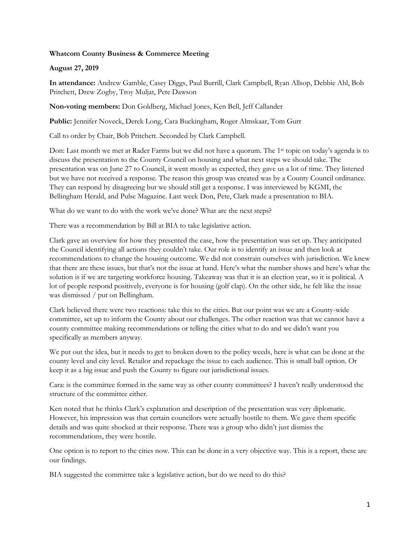## **Whatcom County Business & Commerce Meeting**

## **August 27, 2019**

**In attendance:** Andrew Gamble, Casey Diggs, Paul Burrill, Clark Campbell, Ryan Allsop, Debbie Ahl, Bob Pritchett, Drew Zogby, Troy Muljat, Pete Dawson

**Non-voting members:** Don Goldberg, Michael Jones, Ken Bell, Jeff Callander

**Public:** Jennifer Noveck, Derek Long, Cara Buckingham, Roger Almskaar, Tom Gurr

Call to order by Chair, Bob Pritchett. Seconded by Clark Campbell.

Don: Last month we met at Rader Farms but we did not have a quorum. The 1<sup>st</sup> topic on today's agenda is to discuss the presentation to the County Council on housing and what next steps we should take. The presentation was on June 27 to Council, it went mostly as expected, they gave us a lot of time. They listened but we have not received a response. The reason this group was created was by a County Council ordinance. They can respond by disagreeing but we should still get a response. I was interviewed by KGMI, the Bellingham Herald, and Pulse Magazine. Last week Don, Pete, Clark made a presentation to BIA.

What do we want to do with the work we've done? What are the next steps?

There was a recommendation by Bill at BIA to take legislative action.

Clark gave an overview for how they presented the case, how the presentation was set up. They anticipated the Council identifying all actions they couldn't take. Our role is to identify an issue and then look at recommendations to change the housing outcome. We did not constrain ourselves with jurisdiction. We knew that there are these issues, but that's not the issue at hand. Here's what the number shows and here's what the solution is if we are targeting workforce housing. Takeaway was that it is an election year, so it is political. A lot of people respond positively, everyone is for housing (golf clap). On the other side, he felt like the issue was dismissed / put on Bellingham.

Clark believed there were two reactions: take this to the cities. But our point was we are a County-wide committee, set up to inform the County about our challenges. The other reaction was that we cannot have a county committee making recommendations or telling the cities what to do and we didn't want you specifically as members anyway.

We put out the idea, but it needs to get to broken down to the policy weeds, here is what can be done at the county level and city level. Retailor and repackage the issue to each audience. This is small ball option. Or keep it as a big issue and push the County to figure out jurisdictional issues.

Cara: is the committee formed in the same way as other county committees? I haven't really understood the structure of the committee either.

Ken noted that he thinks Clark's explanation and description of the presentation was very diplomatic. However, his impression was that certain councilors were actually hostile to them. We gave them specific details and was quite shocked at their response. There was a group who didn't just dismiss the recommendations, they were hostile.

One option is to report to the cities now. This can be done in a very objective way. This is a report, these are our findings.

BIA suggested the committee take a legislative action, but do we need to do this?